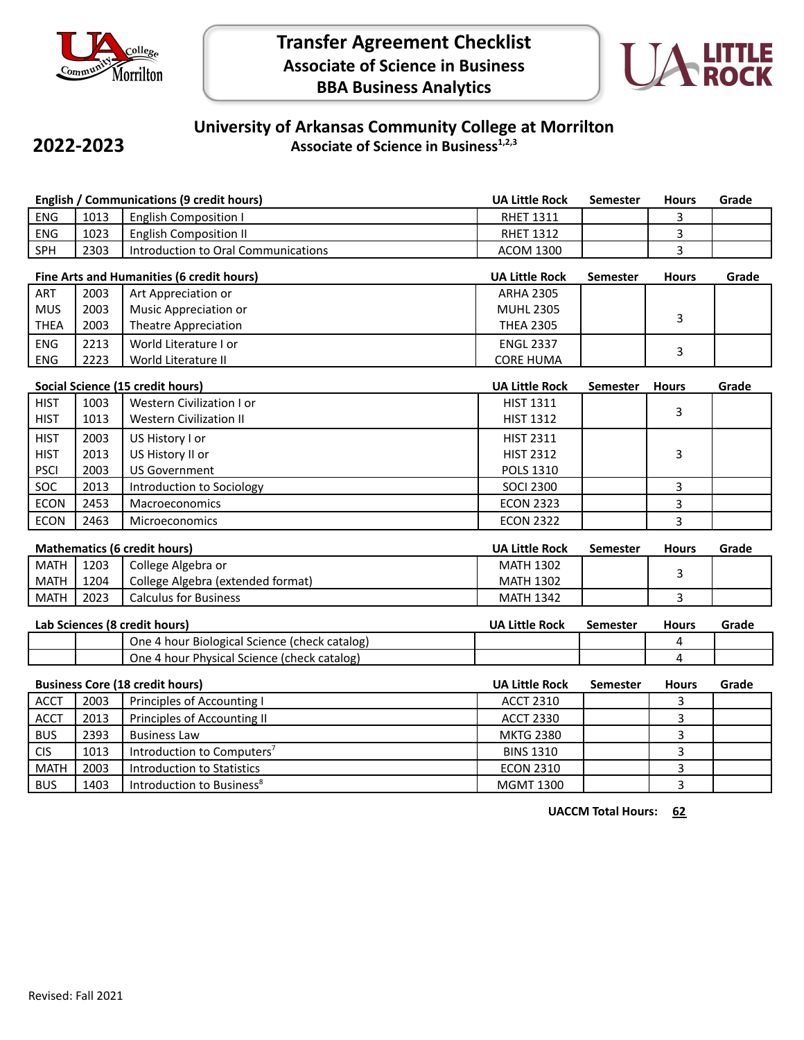

**2022-2023**



## **University of Arkansas Community College at Morrilton Associate of Science in Business1,2,3**

| English / Communications (9 credit hours) |                                                                              |                                               | <b>UA Little Rock</b> | Semester        | <b>Hours</b> | Grade |
|-------------------------------------------|------------------------------------------------------------------------------|-----------------------------------------------|-----------------------|-----------------|--------------|-------|
| <b>ENG</b>                                | 1013                                                                         | <b>English Composition I</b>                  | <b>RHET 1311</b>      |                 | 3            |       |
| ENG                                       | 1023                                                                         | <b>English Composition II</b>                 | <b>RHET 1312</b>      |                 | 3            |       |
| SPH                                       | 2303                                                                         | Introduction to Oral Communications           | <b>ACOM 1300</b>      |                 | 3            |       |
|                                           |                                                                              | Fine Arts and Humanities (6 credit hours)     | <b>UA Little Rock</b> | <b>Semester</b> | <b>Hours</b> | Grade |
| ART                                       | 2003                                                                         | Art Appreciation or                           | <b>ARHA 2305</b>      |                 |              |       |
| <b>MUS</b>                                | 2003                                                                         | Music Appreciation or                         | <b>MUHL 2305</b>      |                 |              |       |
| <b>THEA</b>                               | 2003                                                                         | <b>Theatre Appreciation</b>                   | <b>THEA 2305</b>      |                 | 3            |       |
| ENG                                       | 2213                                                                         | World Literature I or                         | <b>ENGL 2337</b>      |                 |              |       |
| ENG                                       | 2223                                                                         | World Literature II                           | <b>CORE HUMA</b>      |                 | 3            |       |
|                                           |                                                                              | Social Science (15 credit hours)              | <b>UA Little Rock</b> | <b>Semester</b> | <b>Hours</b> | Grade |
| <b>HIST</b>                               | 1003                                                                         | <b>Western Civilization I or</b>              | <b>HIST 1311</b>      |                 |              |       |
| <b>HIST</b>                               | 1013                                                                         | <b>Western Civilization II</b>                | <b>HIST 1312</b>      |                 | 3            |       |
| <b>HIST</b>                               | 2003                                                                         | US History I or                               | <b>HIST 2311</b>      |                 |              |       |
| <b>HIST</b>                               | 2013                                                                         | US History II or                              | <b>HIST 2312</b>      |                 | 3            |       |
| <b>PSCI</b>                               | 2003                                                                         | <b>US Government</b>                          | POLS 1310             |                 |              |       |
| SOC                                       | 2013                                                                         | Introduction to Sociology                     | <b>SOCI 2300</b>      |                 | 3            |       |
| <b>ECON</b>                               | 2453                                                                         | Macroeconomics                                | <b>ECON 2323</b>      |                 | 3            |       |
| ECON                                      | 2463                                                                         | Microeconomics                                | <b>ECON 2322</b>      |                 | 3            |       |
| <b>Mathematics (6 credit hours)</b>       |                                                                              |                                               | <b>UA Little Rock</b> | <b>Semester</b> | <b>Hours</b> | Grade |
| <b>MATH</b>                               | 1203                                                                         | College Algebra or                            | <b>MATH 1302</b>      |                 |              |       |
| <b>MATH</b>                               | 1204                                                                         | College Algebra (extended format)             | <b>MATH 1302</b>      |                 | 3            |       |
| <b>MATH</b>                               | 2023                                                                         | <b>Calculus for Business</b>                  | <b>MATH 1342</b>      |                 | 3            |       |
|                                           |                                                                              | Lab Sciences (8 credit hours)                 | <b>UA Little Rock</b> | <b>Semester</b> | <b>Hours</b> | Grade |
|                                           |                                                                              | One 4 hour Biological Science (check catalog) |                       |                 | 4            |       |
|                                           |                                                                              | One 4 hour Physical Science (check catalog)   |                       |                 | 4            |       |
|                                           |                                                                              |                                               | <b>UA Little Rock</b> | <b>Semester</b> | <b>Hours</b> | Grade |
| <b>ACCT</b>                               | <b>Business Core (18 credit hours)</b><br>2003<br>Principles of Accounting I |                                               | <b>ACCT 2310</b>      |                 | 3            |       |
| <b>ACCT</b>                               | 2013                                                                         | Principles of Accounting II                   | <b>ACCT 2330</b>      |                 | 3            |       |
| <b>BUS</b>                                | 2393                                                                         | <b>Business Law</b>                           | <b>MKTG 2380</b>      |                 | 3            |       |
| <b>CIS</b>                                | 1013                                                                         | Introduction to Computers <sup>7</sup>        | <b>BINS 1310</b>      |                 | 3            |       |
| <b>MATH</b>                               | 2003                                                                         | <b>Introduction to Statistics</b>             | <b>ECON 2310</b>      |                 | 3            |       |
| <b>BUS</b>                                | 1403                                                                         | Introduction to Business <sup>8</sup>         | <b>MGMT 1300</b>      |                 | 3            |       |
|                                           |                                                                              |                                               |                       |                 |              |       |

**UACCM Total Hours: 62**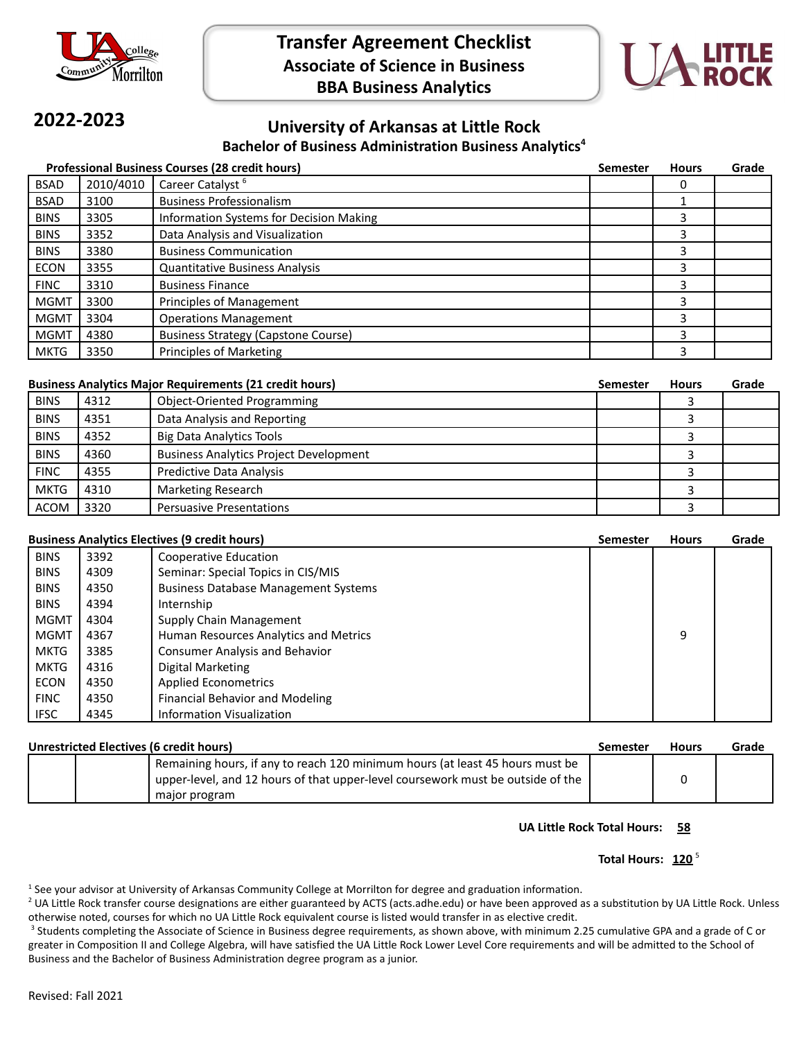



# **2022-2023**

### **University of Arkansas at Little Rock Bachelor of Business Administration Business Analytics<sup>4</sup>**

| <b>Professional Business Courses (28 credit hours)</b><br><b>Semester</b> |           |                                            |  | <b>Hours</b> | Grade |
|---------------------------------------------------------------------------|-----------|--------------------------------------------|--|--------------|-------|
| BSAD                                                                      | 2010/4010 | Career Catalyst <sup>6</sup>               |  | 0            |       |
| <b>BSAD</b>                                                               | 3100      | <b>Business Professionalism</b>            |  |              |       |
| <b>BINS</b>                                                               | 3305      | Information Systems for Decision Making    |  | 3            |       |
| <b>BINS</b>                                                               | 3352      | Data Analysis and Visualization            |  | 3            |       |
| <b>BINS</b>                                                               | 3380      | <b>Business Communication</b>              |  | 3            |       |
| <b>ECON</b>                                                               | 3355      | <b>Quantitative Business Analysis</b>      |  | 3            |       |
| <b>FINC</b>                                                               | 3310      | <b>Business Finance</b>                    |  | 3            |       |
| <b>MGMT</b>                                                               | 3300      | Principles of Management                   |  | 3            |       |
| <b>MGMT</b>                                                               | 3304      | <b>Operations Management</b>               |  | 3            |       |
| <b>MGMT</b>                                                               | 4380      | <b>Business Strategy (Capstone Course)</b> |  | 3            |       |
| <b>MKTG</b>                                                               | 3350      | <b>Principles of Marketing</b>             |  | 3            |       |

| <b>Business Analytics Major Requirements (21 credit hours)</b> |      |                                               | Semester | <b>Hours</b> | Grade |
|----------------------------------------------------------------|------|-----------------------------------------------|----------|--------------|-------|
| <b>BINS</b>                                                    | 4312 | <b>Object-Oriented Programming</b>            |          |              |       |
| <b>BINS</b>                                                    | 4351 | Data Analysis and Reporting                   |          |              |       |
| <b>BINS</b>                                                    | 4352 | <b>Big Data Analytics Tools</b>               |          |              |       |
| <b>BINS</b>                                                    | 4360 | <b>Business Analytics Project Development</b> |          |              |       |
| <b>FINC</b>                                                    | 4355 | <b>Predictive Data Analysis</b>               |          |              |       |
| <b>MKTG</b>                                                    | 4310 | Marketing Research                            |          |              |       |
| <b>ACOM</b>                                                    | 3320 | <b>Persuasive Presentations</b>               |          |              |       |

## **Business Analytics Electives (9 credit hours) Semester Hours Grade**

|             |      |                                             | <br> | ----- |
|-------------|------|---------------------------------------------|------|-------|
| <b>BINS</b> | 3392 | Cooperative Education                       |      |       |
| <b>BINS</b> | 4309 | Seminar: Special Topics in CIS/MIS          |      |       |
| <b>BINS</b> | 4350 | <b>Business Database Management Systems</b> |      |       |
| <b>BINS</b> | 4394 | Internship                                  |      |       |
| <b>MGMT</b> | 4304 | Supply Chain Management                     |      |       |
| <b>MGMT</b> | 4367 | Human Resources Analytics and Metrics       | 9    |       |
| <b>MKTG</b> | 3385 | <b>Consumer Analysis and Behavior</b>       |      |       |
| <b>MKTG</b> | 4316 | Digital Marketing                           |      |       |
| <b>ECON</b> | 4350 | <b>Applied Econometrics</b>                 |      |       |
| <b>FINC</b> | 4350 | <b>Financial Behavior and Modeling</b>      |      |       |
| <b>IFSC</b> | 4345 | <b>Information Visualization</b>            |      |       |

| Unrestricted Electives (6 credit hours) |                                                                                                                                                                                   | Semester | <b>Hours</b> | Grade |
|-----------------------------------------|-----------------------------------------------------------------------------------------------------------------------------------------------------------------------------------|----------|--------------|-------|
|                                         | Remaining hours, if any to reach 120 minimum hours (at least 45 hours must be<br>upper-level, and 12 hours of that upper-level coursework must be outside of the<br>major program |          |              |       |

#### **UA Little Rock Total Hours: 58**

#### Total Hours: 120<sup>5</sup>

 $1$  See your advisor at University of Arkansas Community College at Morrilton for degree and graduation information.

<sup>2</sup> UA Little Rock transfer course designations are either guaranteed by ACTS (acts.adhe.edu) or have been approved as a substitution by UA Little Rock. Unless otherwise noted, courses for which no UA Little Rock equivalent course is listed would transfer in as elective credit.

<sup>3</sup> Students completing the Associate of Science in Business degree requirements, as shown above, with minimum 2.25 cumulative GPA and a grade of C or greater in Composition II and College Algebra, will have satisfied the UA Little Rock Lower Level Core requirements and will be admitted to the School of Business and the Bachelor of Business Administration degree program as a junior.